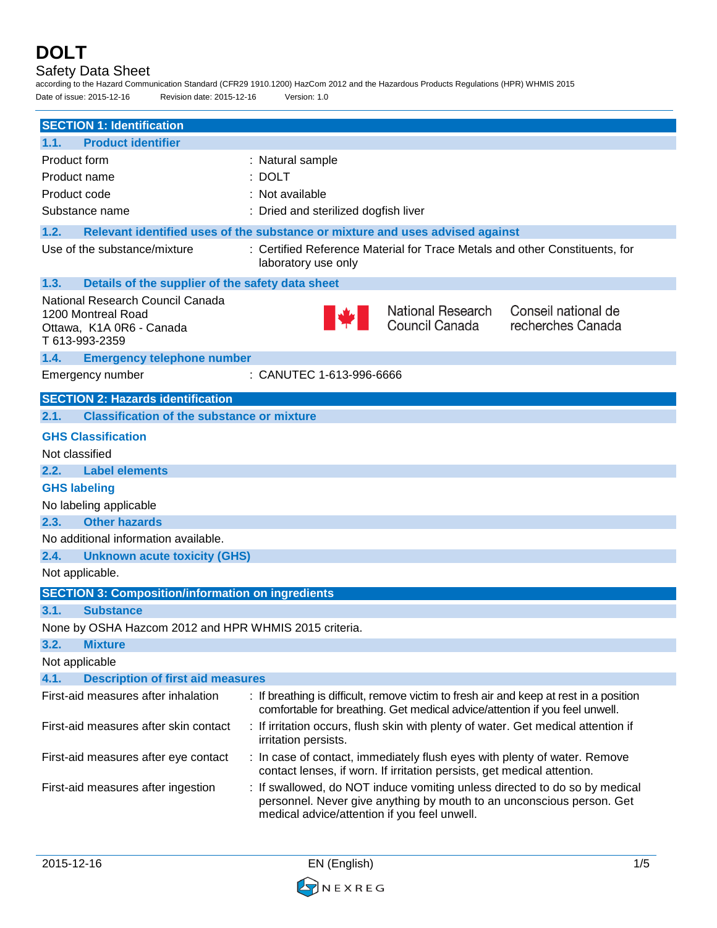### Safety Data Sheet

according to the Hazard Communication Standard (CFR29 1910.1200) HazCom 2012 and the Hazardous Products Regulations (HPR) WHMIS 2015 Date of issue: 2015-12-16 Revision date: 2015-12-16 Version: 1.0

| <b>SECTION 1: Identification</b>                                                                     |                                                                                                                                                                                                     |
|------------------------------------------------------------------------------------------------------|-----------------------------------------------------------------------------------------------------------------------------------------------------------------------------------------------------|
| <b>Product identifier</b><br>1.1.                                                                    |                                                                                                                                                                                                     |
| Product form                                                                                         | : Natural sample                                                                                                                                                                                    |
| Product name                                                                                         | $:$ DOLT                                                                                                                                                                                            |
| Product code                                                                                         | : Not available                                                                                                                                                                                     |
| Substance name                                                                                       | : Dried and sterilized dogfish liver                                                                                                                                                                |
| 1.2.                                                                                                 | Relevant identified uses of the substance or mixture and uses advised against                                                                                                                       |
| Use of the substance/mixture                                                                         | : Certified Reference Material for Trace Metals and other Constituents, for<br>laboratory use only                                                                                                  |
| 1.3.<br>Details of the supplier of the safety data sheet                                             |                                                                                                                                                                                                     |
| National Research Council Canada<br>1200 Montreal Road<br>Ottawa, K1A 0R6 - Canada<br>T 613-993-2359 | National Research<br>Conseil national de<br>Council Canada<br>recherches Canada                                                                                                                     |
| 1.4.<br><b>Emergency telephone number</b>                                                            |                                                                                                                                                                                                     |
| Emergency number                                                                                     | : CANUTEC 1-613-996-6666                                                                                                                                                                            |
| <b>SECTION 2: Hazards identification</b>                                                             |                                                                                                                                                                                                     |
| 2.1.<br><b>Classification of the substance or mixture</b>                                            |                                                                                                                                                                                                     |
| <b>GHS Classification</b>                                                                            |                                                                                                                                                                                                     |
| Not classified                                                                                       |                                                                                                                                                                                                     |
| 2.2.<br><b>Label elements</b>                                                                        |                                                                                                                                                                                                     |
| <b>GHS labeling</b>                                                                                  |                                                                                                                                                                                                     |
| No labeling applicable                                                                               |                                                                                                                                                                                                     |
| <b>Other hazards</b><br>2.3.                                                                         |                                                                                                                                                                                                     |
| No additional information available.                                                                 |                                                                                                                                                                                                     |
| 2.4.<br><b>Unknown acute toxicity (GHS)</b>                                                          |                                                                                                                                                                                                     |
| Not applicable.                                                                                      |                                                                                                                                                                                                     |
| <b>SECTION 3: Composition/information on ingredients</b>                                             |                                                                                                                                                                                                     |
| 3.1.<br><b>Substance</b>                                                                             |                                                                                                                                                                                                     |
| None by OSHA Hazcom 2012 and HPR WHMIS 2015 criteria.                                                |                                                                                                                                                                                                     |
| 3.2.<br><b>Mixture</b>                                                                               |                                                                                                                                                                                                     |
| Not applicable                                                                                       |                                                                                                                                                                                                     |
| 4.1.<br><b>Description of first aid measures</b>                                                     |                                                                                                                                                                                                     |
| First-aid measures after inhalation                                                                  | : If breathing is difficult, remove victim to fresh air and keep at rest in a position<br>comfortable for breathing. Get medical advice/attention if you feel unwell.                               |
| First-aid measures after skin contact                                                                | : If irritation occurs, flush skin with plenty of water. Get medical attention if<br>irritation persists.                                                                                           |
| First-aid measures after eye contact                                                                 | : In case of contact, immediately flush eyes with plenty of water. Remove<br>contact lenses, if worn. If irritation persists, get medical attention.                                                |
| First-aid measures after ingestion                                                                   | : If swallowed, do NOT induce vomiting unless directed to do so by medical<br>personnel. Never give anything by mouth to an unconscious person. Get<br>medical advice/attention if you feel unwell. |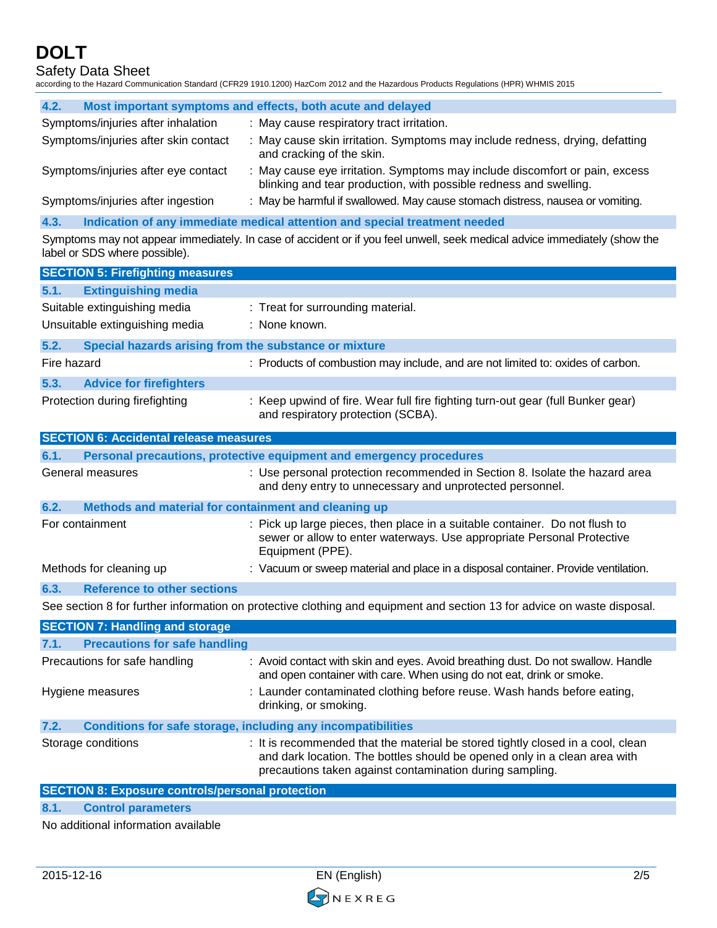Safety Data Sheet

according to the Hazard Communication Standard (CFR29 1910.1200) HazCom 2012 and the Hazardous Products Regulations (HPR) WHMIS 2015

| 4.2.                                 | Most important symptoms and effects, both acute and delayed                                                                                      |
|--------------------------------------|--------------------------------------------------------------------------------------------------------------------------------------------------|
| Symptoms/injuries after inhalation   | : May cause respiratory tract irritation.                                                                                                        |
| Symptoms/injuries after skin contact | : May cause skin irritation. Symptoms may include redness, drying, defatting<br>and cracking of the skin.                                        |
| Symptoms/injuries after eye contact  | : May cause eye irritation. Symptoms may include discomfort or pain, excess<br>blinking and tear production, with possible redness and swelling. |
| Symptoms/injuries after ingestion    | : May be harmful if swallowed. May cause stomach distress, nausea or vomiting.                                                                   |

**4.3. Indication of any immediate medical attention and special treatment needed**

Symptoms may not appear immediately. In case of accident or if you feel unwell, seek medical advice immediately (show the label or SDS where possible).

| <b>SECTION 5: Firefighting measures</b>                                     |                                                                                                                                                                                                                          |
|-----------------------------------------------------------------------------|--------------------------------------------------------------------------------------------------------------------------------------------------------------------------------------------------------------------------|
| 5.1.<br><b>Extinguishing media</b>                                          |                                                                                                                                                                                                                          |
| Suitable extinguishing media<br>Unsuitable extinguishing media              | : Treat for surrounding material.<br>: None known.                                                                                                                                                                       |
| 5.2.<br>Special hazards arising from the substance or mixture               |                                                                                                                                                                                                                          |
| Fire hazard                                                                 | : Products of combustion may include, and are not limited to: oxides of carbon.                                                                                                                                          |
| <b>Advice for firefighters</b><br>5.3.                                      |                                                                                                                                                                                                                          |
| Protection during firefighting                                              | : Keep upwind of fire. Wear full fire fighting turn-out gear (full Bunker gear)<br>and respiratory protection (SCBA).                                                                                                    |
| <b>SECTION 6: Accidental release measures</b>                               |                                                                                                                                                                                                                          |
| 6.1.                                                                        | Personal precautions, protective equipment and emergency procedures                                                                                                                                                      |
| General measures                                                            | : Use personal protection recommended in Section 8. Isolate the hazard area<br>and deny entry to unnecessary and unprotected personnel.                                                                                  |
| Methods and material for containment and cleaning up<br>6.2.                |                                                                                                                                                                                                                          |
| For containment                                                             | : Pick up large pieces, then place in a suitable container. Do not flush to<br>sewer or allow to enter waterways. Use appropriate Personal Protective<br>Equipment (PPE).                                                |
| Methods for cleaning up                                                     | : Vacuum or sweep material and place in a disposal container. Provide ventilation.                                                                                                                                       |
| <b>Reference to other sections</b><br>6.3.                                  |                                                                                                                                                                                                                          |
|                                                                             | See section 8 for further information on protective clothing and equipment and section 13 for advice on waste disposal.                                                                                                  |
| <b>SECTION 7: Handling and storage</b>                                      |                                                                                                                                                                                                                          |
| <b>Precautions for safe handling</b><br>7.1.                                |                                                                                                                                                                                                                          |
| Precautions for safe handling                                               | : Avoid contact with skin and eyes. Avoid breathing dust. Do not swallow. Handle<br>and open container with care. When using do not eat, drink or smoke.                                                                 |
| Hygiene measures                                                            | : Launder contaminated clothing before reuse. Wash hands before eating,<br>drinking, or smoking.                                                                                                                         |
| <b>Conditions for safe storage, including any incompatibilities</b><br>7.2. |                                                                                                                                                                                                                          |
| Storage conditions                                                          | : It is recommended that the material be stored tightly closed in a cool, clean<br>and dark location. The bottles should be opened only in a clean area with<br>precautions taken against contamination during sampling. |

**8.1. Control parameters**

No additional information available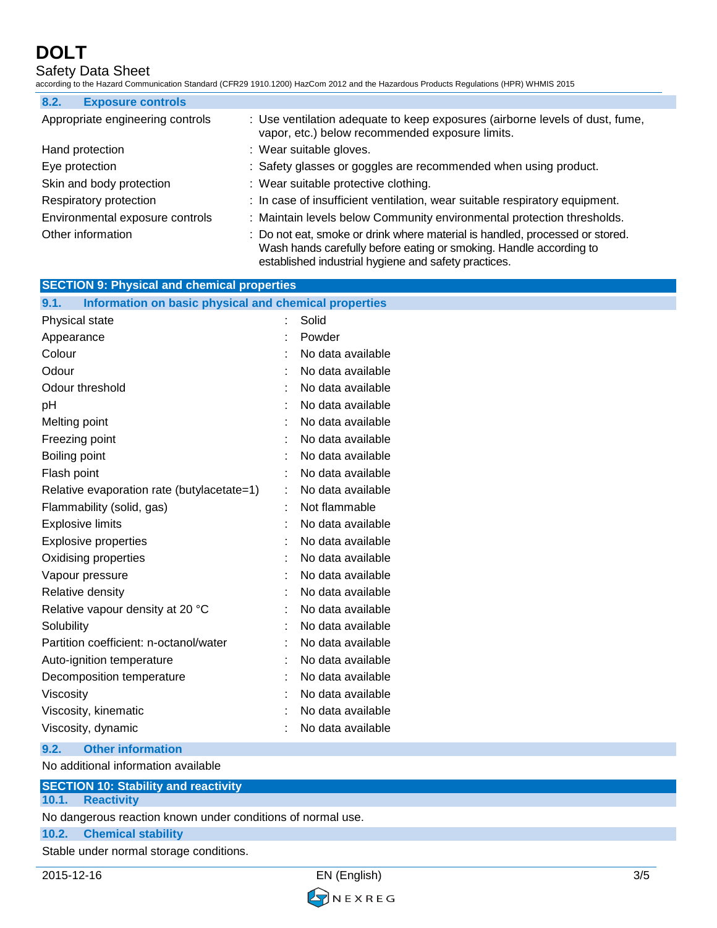## Safety Data Sheet

according to the Hazard Communication Standard (CFR29 1910.1200) HazCom 2012 and the Hazardous Products Regulations (HPR) WHMIS 2015

| 8.2.<br><b>Exposure controls</b> |                                                                                                                                                                                                            |
|----------------------------------|------------------------------------------------------------------------------------------------------------------------------------------------------------------------------------------------------------|
| Appropriate engineering controls | : Use ventilation adequate to keep exposures (airborne levels of dust, fume,<br>vapor, etc.) below recommended exposure limits.                                                                            |
| Hand protection                  | : Wear suitable gloves.                                                                                                                                                                                    |
| Eye protection                   | : Safety glasses or goggles are recommended when using product.                                                                                                                                            |
| Skin and body protection         | : Wear suitable protective clothing.                                                                                                                                                                       |
| Respiratory protection           | : In case of insufficient ventilation, wear suitable respiratory equipment.                                                                                                                                |
| Environmental exposure controls  | : Maintain levels below Community environmental protection thresholds.                                                                                                                                     |
| Other information                | : Do not eat, smoke or drink where material is handled, processed or stored.<br>Wash hands carefully before eating or smoking. Handle according to<br>established industrial hygiene and safety practices. |

| <b>SECTION 9: Physical and chemical properties</b> |                                                       |
|----------------------------------------------------|-------------------------------------------------------|
|                                                    | Information on basic physical and chemical properties |
|                                                    | Solid                                                 |
|                                                    | Powder                                                |
|                                                    | No data available                                     |
|                                                    | No data available                                     |
|                                                    | No data available                                     |
|                                                    | No data available                                     |
|                                                    | No data available                                     |
|                                                    | No data available                                     |
|                                                    | No data available                                     |
|                                                    | No data available                                     |
|                                                    | No data available                                     |
|                                                    | Not flammable                                         |
|                                                    | No data available                                     |
|                                                    | No data available                                     |
|                                                    | No data available                                     |
|                                                    | No data available                                     |
|                                                    | No data available                                     |
|                                                    | No data available                                     |
|                                                    | No data available                                     |
|                                                    | No data available                                     |
|                                                    | No data available                                     |
|                                                    | No data available                                     |
|                                                    | No data available                                     |
|                                                    | No data available                                     |
|                                                    | No data available                                     |
|                                                    |                                                       |

### **9.2. Other information**

No additional information available

### **SECTION 10: Stability and reactivity**

**10.1. Reactivity**

No dangerous reaction known under conditions of normal use.

#### **10.2. Chemical stability**

Stable under normal storage conditions.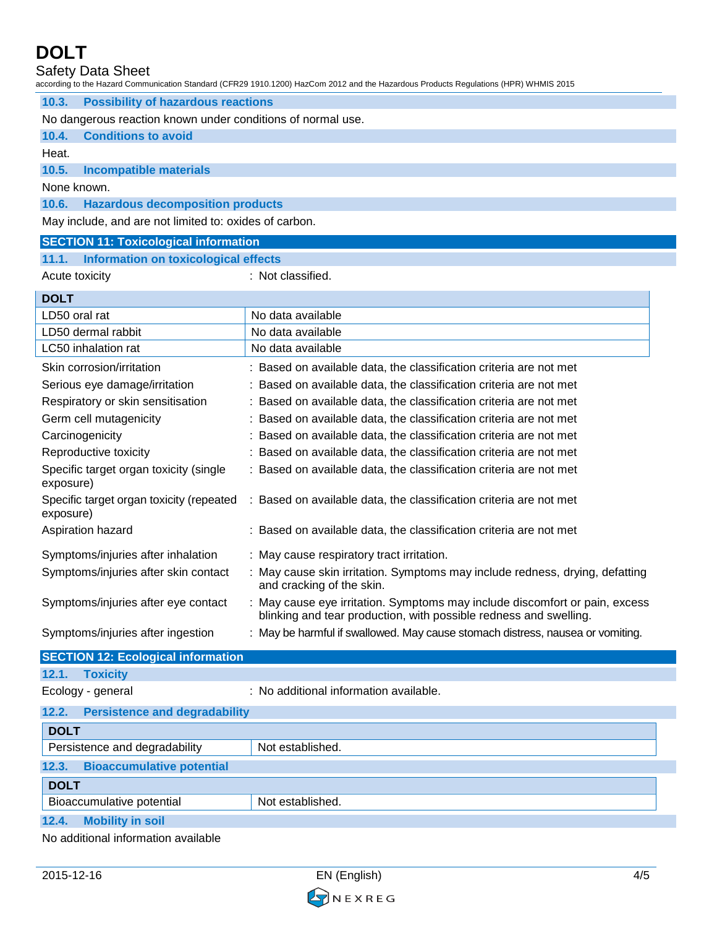Safety Data Sheet

|                                                             | according to the Hazard Communication Standard (CFR29 1910.1200) HazCom 2012 and the Hazardous Products Regulations (HPR) WHMIS 2015             |  |
|-------------------------------------------------------------|--------------------------------------------------------------------------------------------------------------------------------------------------|--|
| <b>Possibility of hazardous reactions</b><br>10.3.          |                                                                                                                                                  |  |
| No dangerous reaction known under conditions of normal use. |                                                                                                                                                  |  |
| <b>Conditions to avoid</b><br>10.4.                         |                                                                                                                                                  |  |
| Heat.                                                       |                                                                                                                                                  |  |
| 10.5.<br><b>Incompatible materials</b>                      |                                                                                                                                                  |  |
| None known.                                                 |                                                                                                                                                  |  |
| 10.6.<br><b>Hazardous decomposition products</b>            |                                                                                                                                                  |  |
| May include, and are not limited to: oxides of carbon.      |                                                                                                                                                  |  |
| <b>SECTION 11: Toxicological information</b>                |                                                                                                                                                  |  |
| 11.1. Information on toxicological effects                  |                                                                                                                                                  |  |
| Acute toxicity                                              | : Not classified.                                                                                                                                |  |
| <b>DOLT</b>                                                 |                                                                                                                                                  |  |
| LD50 oral rat                                               | No data available                                                                                                                                |  |
| LD50 dermal rabbit                                          | No data available                                                                                                                                |  |
| LC50 inhalation rat                                         | No data available                                                                                                                                |  |
| Skin corrosion/irritation                                   | : Based on available data, the classification criteria are not met                                                                               |  |
| Serious eye damage/irritation                               | : Based on available data, the classification criteria are not met                                                                               |  |
| Respiratory or skin sensitisation                           | : Based on available data, the classification criteria are not met                                                                               |  |
| Germ cell mutagenicity                                      | : Based on available data, the classification criteria are not met                                                                               |  |
| Carcinogenicity                                             | : Based on available data, the classification criteria are not met                                                                               |  |
| Reproductive toxicity                                       | : Based on available data, the classification criteria are not met                                                                               |  |
| Specific target organ toxicity (single<br>exposure)         | : Based on available data, the classification criteria are not met                                                                               |  |
| Specific target organ toxicity (repeated<br>exposure)       | : Based on available data, the classification criteria are not met                                                                               |  |
| Aspiration hazard                                           | : Based on available data, the classification criteria are not met                                                                               |  |
| Symptoms/injuries after inhalation                          | : May cause respiratory tract irritation.                                                                                                        |  |
| Symptoms/injuries after skin contact                        | : May cause skin irritation. Symptoms may include redness, drying, defatting<br>and cracking of the skin.                                        |  |
| Symptoms/injuries after eye contact                         | : May cause eye irritation. Symptoms may include discomfort or pain, excess<br>blinking and tear production, with possible redness and swelling. |  |
| Symptoms/injuries after ingestion                           | : May be harmful if swallowed. May cause stomach distress, nausea or vomiting.                                                                   |  |
| <b>SECTION 12: Ecological information</b>                   |                                                                                                                                                  |  |
| 12.1.<br><b>Toxicity</b>                                    |                                                                                                                                                  |  |
| Ecology - general                                           | : No additional information available.                                                                                                           |  |
| <b>Persistence and degradability</b><br>12.2.               |                                                                                                                                                  |  |
| <b>DOLT</b>                                                 |                                                                                                                                                  |  |

| ----                                      |                               |                  |  |
|-------------------------------------------|-------------------------------|------------------|--|
|                                           | Persistence and degradability | Not established. |  |
| 12.3.<br><b>Bioaccumulative potential</b> |                               |                  |  |
| <b>DOLT</b>                               |                               |                  |  |
|                                           | Bioaccumulative potential     | Not established. |  |
| 12.4.                                     | <b>Mobility in soil</b>       |                  |  |

No additional information available